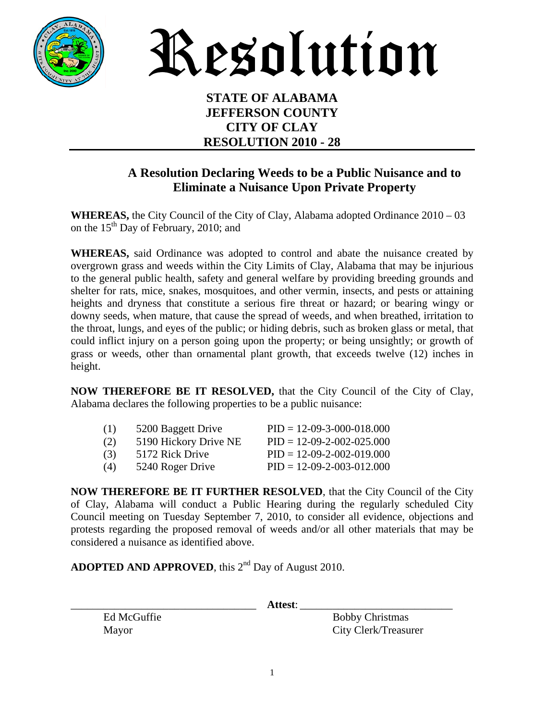

Resolution

#### **STATE OF ALABAMA JEFFERSON COUNTY CITY OF CLAY RESOLUTION 2010 - 28**

### **A Resolution Declaring Weeds to be a Public Nuisance and to Eliminate a Nuisance Upon Private Property**

**WHEREAS,** the City Council of the City of Clay, Alabama adopted Ordinance 2010 – 03 on the  $15<sup>th</sup>$  Day of February, 2010; and

**WHEREAS,** said Ordinance was adopted to control and abate the nuisance created by overgrown grass and weeds within the City Limits of Clay, Alabama that may be injurious to the general public health, safety and general welfare by providing breeding grounds and shelter for rats, mice, snakes, mosquitoes, and other vermin, insects, and pests or attaining heights and dryness that constitute a serious fire threat or hazard; or bearing wingy or downy seeds, when mature, that cause the spread of weeds, and when breathed, irritation to the throat, lungs, and eyes of the public; or hiding debris, such as broken glass or metal, that could inflict injury on a person going upon the property; or being unsightly; or growth of grass or weeds, other than ornamental plant growth, that exceeds twelve (12) inches in height.

**NOW THEREFORE BE IT RESOLVED,** that the City Council of the City of Clay, Alabama declares the following properties to be a public nuisance:

| (1) | 5200 Baggett Drive    | $PID = 12-09-3-000-018.000$ |
|-----|-----------------------|-----------------------------|
| (2) | 5190 Hickory Drive NE | $PID = 12-09-2-002-025.000$ |
| (3) | 5172 Rick Drive       | $PID = 12-09-2-002-019.000$ |
| (4) | 5240 Roger Drive      | $PID = 12-09-2-003-012.000$ |
|     |                       |                             |

**NOW THEREFORE BE IT FURTHER RESOLVED**, that the City Council of the City of Clay, Alabama will conduct a Public Hearing during the regularly scheduled City Council meeting on Tuesday September 7, 2010, to consider all evidence, objections and protests regarding the proposed removal of weeds and/or all other materials that may be considered a nuisance as identified above.

**ADOPTED AND APPROVED**, this  $2<sup>nd</sup>$  Day of August 2010.

\_\_\_\_\_\_\_\_\_\_\_\_\_\_\_\_\_\_\_\_\_\_\_\_\_\_\_\_\_\_\_\_\_\_ **Attest**: \_\_\_\_\_\_\_\_\_\_\_\_\_\_\_\_\_\_\_\_\_\_\_\_\_\_\_\_

Ed McGuffie Bobby Christmas Mayor City Clerk/Treasurer